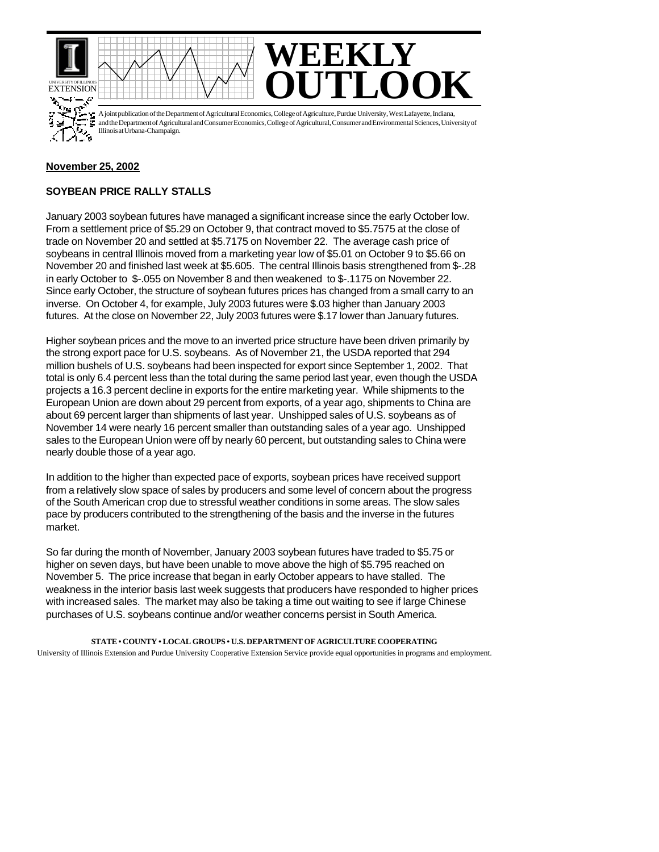





A joint publication of the Department of Agricultural Economics, College of Agriculture, Purdue University, West Lafayette, Indiana, and the Department of Agricultural and Consumer Economics, College of Agricultural, Consumer and Environmental Sciences, University of Illinois at Urbana-Champaign.

## **November 25, 2002**

## **SOYBEAN PRICE RALLY STALLS**

January 2003 soybean futures have managed a significant increase since the early October low. From a settlement price of \$5.29 on October 9, that contract moved to \$5.7575 at the close of trade on November 20 and settled at \$5.7175 on November 22. The average cash price of soybeans in central Illinois moved from a marketing year low of \$5.01 on October 9 to \$5.66 on November 20 and finished last week at \$5.605. The central Illinois basis strengthened from \$-.28 in early October to \$-.055 on November 8 and then weakened to \$-.1175 on November 22. Since early October, the structure of soybean futures prices has changed from a small carry to an inverse. On October 4, for example, July 2003 futures were \$.03 higher than January 2003 futures. At the close on November 22, July 2003 futures were \$.17 lower than January futures.

Higher soybean prices and the move to an inverted price structure have been driven primarily by the strong export pace for U.S. soybeans. As of November 21, the USDA reported that 294 million bushels of U.S. soybeans had been inspected for export since September 1, 2002. That total is only 6.4 percent less than the total during the same period last year, even though the USDA projects a 16.3 percent decline in exports for the entire marketing year. While shipments to the European Union are down about 29 percent from exports, of a year ago, shipments to China are about 69 percent larger than shipments of last year. Unshipped sales of U.S. soybeans as of November 14 were nearly 16 percent smaller than outstanding sales of a year ago. Unshipped sales to the European Union were off by nearly 60 percent, but outstanding sales to China were nearly double those of a year ago.

In addition to the higher than expected pace of exports, soybean prices have received support from a relatively slow space of sales by producers and some level of concern about the progress of the South American crop due to stressful weather conditions in some areas. The slow sales pace by producers contributed to the strengthening of the basis and the inverse in the futures market.

So far during the month of November, January 2003 soybean futures have traded to \$5.75 or higher on seven days, but have been unable to move above the high of \$5.795 reached on November 5. The price increase that began in early October appears to have stalled. The weakness in the interior basis last week suggests that producers have responded to higher prices with increased sales. The market may also be taking a time out waiting to see if large Chinese purchases of U.S. soybeans continue and/or weather concerns persist in South America.

**STATE • COUNTY • LOCAL GROUPS • U.S. DEPARTMENT OF AGRICULTURE COOPERATING** University of Illinois Extension and Purdue University Cooperative Extension Service provide equal opportunities in programs and employment.